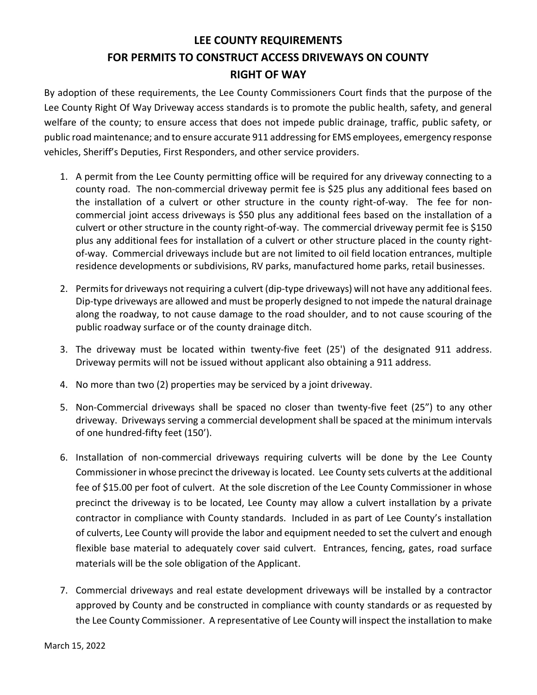## LEE COUNTY REQUIREMENTS FOR PERMITS TO CONSTRUCT ACCESS DRIVEWAYS ON COUNTY RIGHT OF WAY

By adoption of these requirements, the Lee County Commissioners Court finds that the purpose of the Lee County Right Of Way Driveway access standards is to promote the public health, safety, and general welfare of the county; to ensure access that does not impede public drainage, traffic, public safety, or public road maintenance; and to ensure accurate 911 addressing for EMS employees, emergency response vehicles, Sheriff's Deputies, First Responders, and other service providers.

- 1. A permit from the Lee County permitting office will be required for any driveway connecting to a county road. The non-commercial driveway permit fee is \$25 plus any additional fees based on the installation of a culvert or other structure in the county right-of-way. The fee for noncommercial joint access driveways is \$50 plus any additional fees based on the installation of a culvert or other structure in the county right-of-way. The commercial driveway permit fee is \$150 plus any additional fees for installation of a culvert or other structure placed in the county rightof-way. Commercial driveways include but are not limited to oil field location entrances, multiple residence developments or subdivisions, RV parks, manufactured home parks, retail businesses.
- 2. Permits for driveways not requiring a culvert (dip-type driveways) will not have any additional fees. Dip-type driveways are allowed and must be properly designed to not impede the natural drainage along the roadway, to not cause damage to the road shoulder, and to not cause scouring of the public roadway surface or of the county drainage ditch.
- 3. The driveway must be located within twenty-five feet (25') of the designated 911 address. Driveway permits will not be issued without applicant also obtaining a 911 address.
- 4. No more than two (2) properties may be serviced by a joint driveway.
- 5. Non-Commercial driveways shall be spaced no closer than twenty-five feet (25") to any other driveway. Driveways serving a commercial development shall be spaced at the minimum intervals of one hundred-fifty feet (150').
- 6. Installation of non-commercial driveways requiring culverts will be done by the Lee County Commissioner in whose precinct the driveway is located. Lee County sets culverts at the additional fee of \$15.00 per foot of culvert. At the sole discretion of the Lee County Commissioner in whose precinct the driveway is to be located, Lee County may allow a culvert installation by a private contractor in compliance with County standards. Included in as part of Lee County's installation of culverts, Lee County will provide the labor and equipment needed to set the culvert and enough flexible base material to adequately cover said culvert. Entrances, fencing, gates, road surface materials will be the sole obligation of the Applicant.
- 7. Commercial driveways and real estate development driveways will be installed by a contractor approved by County and be constructed in compliance with county standards or as requested by the Lee County Commissioner. A representative of Lee County will inspect the installation to make